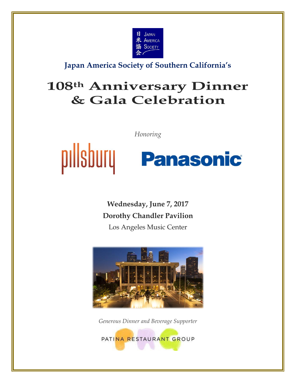

**Japan America Society of Southern California's**

# **108th Anniversary Dinner & Gala Celebration**

*Honoring*

# pillsbury **Panasonic**

**Wednesday, June 7, 2017 Dorothy Chandler Pavilion**

Los Angeles Music Center



*Generous Dinner and Beverage Supporter*

PATINA RESTAURANT GROUP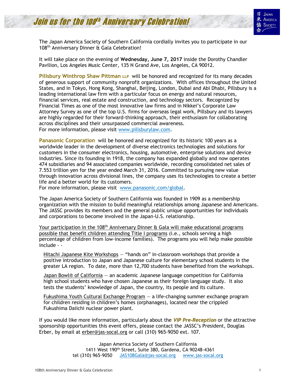# Join us for the 108th Anniversary Celebration!



The Japan America Society of Southern California cordially invites you to participate in our 108 th Anniversary Dinner & Gala Celebration!

It will take place on the evening of **Wednesday, June 7, 2017** inside the Dorothy Chandler Pavilion, Los Angeles Music Center, 135 N Grand Ave, Los Angeles, CA 90012.

**Pillsbury Winthrop Shaw Pittman LLP** will be honored and recognized for its many decades of generous support of community nonprofit organizations. With offices throughout the United States, and in Tokyo, Hong Kong, Shanghai, Beijing, London, Dubai and Abi Dhabi, Pillsbury is a leading international law firm with a particular focus on energy and natural resources, financial services, real estate and construction, and technology sectors. Recognized by Financial Times as one of the most innovative law firms and in Nikkei's Corporate Law Attorney Survey as one of the top U.S. firms for overseas legal work, Pillsbury and its lawyers are highly regarded for their forward-thinking approach, their enthusiasm for collaborating across disciplines and their unsurpassed commercial awareness. For more information, please visit [www.pillsburylaw.com.](http://www.pillsburylaw.com/)

**Panasonic Corporation** will be honored and recognized for its historic 100 years as a worldwide leader in the development of diverse electronics technologies and solutions for customers in the consumer electronics, housing, automotive, enterprise solutions and device industries. Since its founding in 1918, the company has expanded globally and now operates 474 subsidiaries and 94 associated companies worldwide, recording consolidated net sales of 7.553 trillion yen for the year ended March 31, 2016. Committed to pursuing new value through innovation across divisional lines, the company uses its technologies to create a better life and a better world for its customers.

For more information, please visit [www.panasonic.com/global.](http://www.panasonic.com/global)

The Japan America Society of Southern California was founded in 1909 as a membership organization with the mission to build meaningful relationships among Japanese and Americans. The JASSC provides its members and the general public unique opportunities for individuals and corporations to become involved in the Japan-U.S. relationship.

Your participation in the 108<sup>th</sup> Anniversary Dinner & Gala will make educational programs possible that benefit children attending Title I programs (i.e., schools serving a high percentage of children from low-income families). The programs you will help make possible include - -

Hitachi Japanese Kite Workshops — "hands on" in-classroom workshops that provide a positive introduction to Japan and Japanese culture for elementary school students in the greater LA region. To date, more than 12,700 students have benefited from the workshops.

Japan Bowl® of California — an academic Japanese language competition for California high school students who have chosen Japanese as their foreign language study. It also tests the students' knowledge of Japan, the country, its people and its culture.

Fukushima Youth Cultural Exchange Program — a life-changing summer exchange program for children residing in children's homes (orphanages), located near the crippled Fukushima Daiichi nuclear power plant.

If you would like more information, particularly about the *VIP Pre-Reception* or the attractive sponsorship opportunities this event offers, please contact the JASSC's President, Douglas Erber, by email at [erber@jas-socal.org](mailto:erber@jas-socal.org) or call (310) 965-9050 ext. 107.

> Japan America Society of Southern California 1411 West 190th Street, Suite 380, Gardena, CA 90248-4361 tel (310) 965-9050 [JAS108Gala@jas-socal.org](mailto:JAS108Gala@jas-socal.org) www[.jas-socal.org](http://www.jas-socal.org/)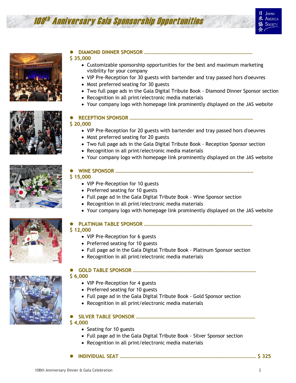# 108 th Anniversary Gala Sponsorship Opportunities





#### **DIAMOND DINNER SPONSOR …………………………………………………………………………… \$ 35,000**

- Customizable sponsorship opportunities for the best and maximum marketing visibility for your company
- VIP Pre-Reception for 30 guests with bartender and tray passed hors d'oeuvres
- Most preferred seating for 30 guests
- Two full page ads in the Gala Digital Tribute Book Diamond Dinner Sponsor section
- Recognition in all print/electronic media materials
- Your company logo with homepage link prominently displayed on the JAS website



- **RECEPTION SPONSOR ……………………………………………………………………………………… \$ 20,000**
	- VIP Pre-Reception for 20 guests with bartender and tray passed hors d'oeuvres
	- Most preferred seating for 20 guests
	- Two full page ads in the Gala Digital Tribute Book Reception Sponsor section
	- Recognition in all print/electronic media materials
	- Your company logo with homepage link prominently displayed on the JAS website



#### **WINE SPONSOR …………………………………………………………………………………….……….… \$ 15,000**

- VIP Pre-Reception for 10 guests
- Preferred seating for 10 guests
- Full page ad in the Gala Digital Tribute Book Wine Sponsor section
- Recognition in all print/electronic media materials
- Your company logo with homepage link prominently displayed on the JAS website



## **PLATINUM TABLE SPONSOR ……………………………………………………………………………**

- **\$ 12,000**
	- VIP Pre-Reception for 6 guests
	- Preferred seating for 10 guests
	- Full page ad in the Gala Digital Tribute Book Platinum Sponsor section
	- Recognition in all print/electronic media materials

### **GOLD TABLE SPONSOR ………………………………………………….………………………………….**

#### **\$ 6,000**

- VIP Pre-Reception for 4 guests
- Preferred seating for 10 guests
- Full page ad in the Gala Digital Tribute Book Gold Sponsor section
- Recognition in all print/electronic media materials

#### **SILVER TABLE SPONSOR …………………………………………………………………………………… \$ 4,000**

- Seating for 10 guests
- Full page ad in the Gala Digital Tribute Book Silver Sponsor section
- Recognition in all print/electronic media materials
- **INDIVIDUAL SEAT ……………………………………………………………………………………….……… \$ 325**

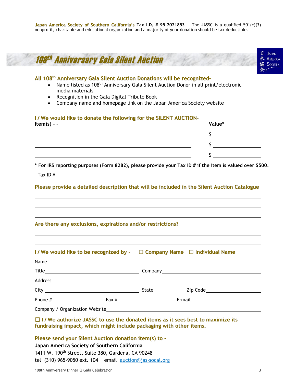| All 108 <sup>th</sup> Anniversary Gala Silent Auction Donations will be recognized-<br>Name listed as 108 <sup>th</sup> Anniversary Gala Silent Auction Donor in all print/electronic<br>media materials<br>Recognition in the Gala Digital Tribute Book<br>Company name and homepage link on the Japan America Society website<br>$\bullet$ |                              |
|----------------------------------------------------------------------------------------------------------------------------------------------------------------------------------------------------------------------------------------------------------------------------------------------------------------------------------------------|------------------------------|
| I/We would like to donate the following for the SILENT AUCTION-                                                                                                                                                                                                                                                                              | Value*                       |
| Item(s) - -                                                                                                                                                                                                                                                                                                                                  |                              |
|                                                                                                                                                                                                                                                                                                                                              | $\mathsf{S}$ $\qquad \qquad$ |
|                                                                                                                                                                                                                                                                                                                                              | $\frac{1}{2}$                |
|                                                                                                                                                                                                                                                                                                                                              | $\mathsf{S}$                 |
| Please provide a detailed description that will be included in the Silent Auction Catalogue                                                                                                                                                                                                                                                  |                              |
| Are there any exclusions, expirations and/or restrictions?                                                                                                                                                                                                                                                                                   |                              |
|                                                                                                                                                                                                                                                                                                                                              |                              |
|                                                                                                                                                                                                                                                                                                                                              |                              |
|                                                                                                                                                                                                                                                                                                                                              |                              |
| I/We would like to be recognized by - $\Box$ Company Name $\Box$ Individual Name<br>Name and the state of the state of the state of the state of the state of the state of the state of the state of the state of the state of the state of the state of the state of the state of the state of the state of the s                           |                              |
|                                                                                                                                                                                                                                                                                                                                              |                              |
|                                                                                                                                                                                                                                                                                                                                              |                              |
|                                                                                                                                                                                                                                                                                                                                              |                              |

tel (310) 965-9050 ext. 104 email [auction@jas-socal.org](mailto:auction@jas-socal.org)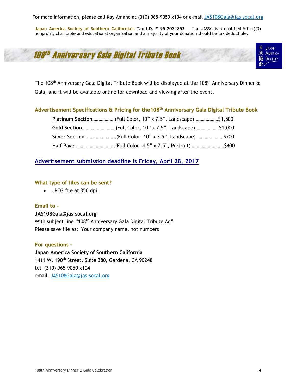For more information, please call Kay Amano at (310) 965-9050 x104 or e-mail [JAS108Gala@jas-socal.org](mailto:JAS108Gala@jas-socal.org)

**Japan** America Society of Southern California's Tax I.D. # 95-2021853 - The JASSC is a qualified  $501(c)(3)$ nonprofit, charitable and educational organization and a majority of your donation should be tax deductible.





The 108<sup>th</sup> Anniversary Gala Digital Tribute Book will be displayed at the 108<sup>th</sup> Anniversary Dinner & Gala, and it will be available online for download and viewing after the event.

#### **Advertisement Specifications & Pricing for the108 th Anniversary Gala Digital Tribute Book**

| Platinum Section(Full Color, 10" x 7.5", Landscape) \$1,500               |  |
|---------------------------------------------------------------------------|--|
|                                                                           |  |
| Silver Section……………………….(Full Color, 10" x 7.5", Landscape) ………………….\$700 |  |
| Half Page …………………………(Full Color, 4.5" x 7.5", Portrait)……………………….\$400    |  |

## **Advertisement submission deadline is Friday, April 28, 2017**

#### **What type of files can be sent?**

JPEG file at 350 dpi.

#### **Email to -**

#### **JAS108Gala@jas-socal.org**

With subject line "108<sup>th</sup> Anniversary Gala Digital Tribute Ad" Please save file as: Your company name, not numbers

#### **For questions -**

**Japan America Society of Southern California**  1411 W. 190th Street, Suite 380, Gardena, CA 90248 tel (310) 965-9050 x104 email [JAS108Gala@jas-socal.org](mailto:JAS108Gala@jas-socal.org)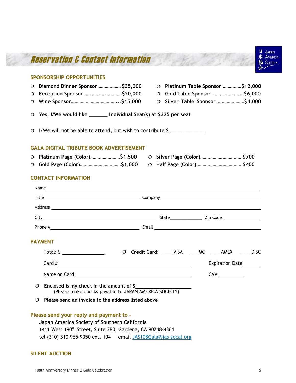

## **Japan America Society of Southern California** 1411 West 190<sup>th</sup> Street, Suite 380, Gardena, CA 90248-4361 tel (310) 310-965-9050 ext. 104 email [JAS108Gala@jas-socal.org](mailto:JAS108Gala@jas-socal.org)

#### **SILENT AUCTION**

**LAPAN**